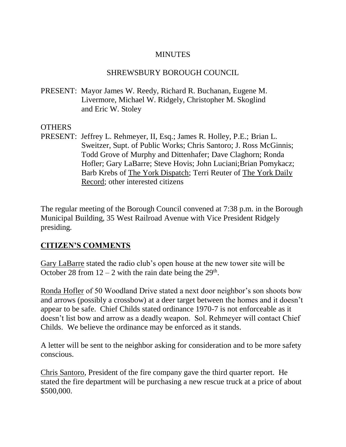### MINUTES

### SHREWSBURY BOROUGH COUNCIL

PRESENT: Mayor James W. Reedy, Richard R. Buchanan, Eugene M. Livermore, Michael W. Ridgely, Christopher M. Skoglind and Eric W. Stoley

### **OTHERS**

PRESENT: Jeffrey L. Rehmeyer, II, Esq.; James R. Holley, P.E.; Brian L. Sweitzer, Supt. of Public Works; Chris Santoro; J. Ross McGinnis; Todd Grove of Murphy and Dittenhafer; Dave Claghorn; Ronda Hofler; Gary LaBarre; Steve Hovis; John Luciani;Brian Pomykacz; Barb Krebs of The York Dispatch; Terri Reuter of The York Daily Record; other interested citizens

The regular meeting of the Borough Council convened at 7:38 p.m. in the Borough Municipal Building, 35 West Railroad Avenue with Vice President Ridgely presiding.

# **CITIZEN'S COMMENTS**

Gary LaBarre stated the radio club's open house at the new tower site will be October 28 from  $12 - 2$  with the rain date being the  $29<sup>th</sup>$ .

Ronda Hofler of 50 Woodland Drive stated a next door neighbor's son shoots bow and arrows (possibly a crossbow) at a deer target between the homes and it doesn't appear to be safe. Chief Childs stated ordinance 1970-7 is not enforceable as it doesn't list bow and arrow as a deadly weapon. Sol. Rehmeyer will contact Chief Childs. We believe the ordinance may be enforced as it stands.

A letter will be sent to the neighbor asking for consideration and to be more safety conscious.

Chris Santoro, President of the fire company gave the third quarter report. He stated the fire department will be purchasing a new rescue truck at a price of about \$500,000.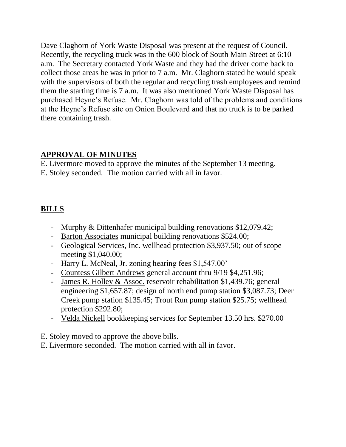Dave Claghorn of York Waste Disposal was present at the request of Council. Recently, the recycling truck was in the 600 block of South Main Street at 6:10 a.m. The Secretary contacted York Waste and they had the driver come back to collect those areas he was in prior to 7 a.m. Mr. Claghorn stated he would speak with the supervisors of both the regular and recycling trash employees and remind them the starting time is 7 a.m. It was also mentioned York Waste Disposal has purchased Heyne's Refuse. Mr. Claghorn was told of the problems and conditions at the Heyne's Refuse site on Onion Boulevard and that no truck is to be parked there containing trash.

# **APPROVAL OF MINUTES**

E. Livermore moved to approve the minutes of the September 13 meeting. E. Stoley seconded. The motion carried with all in favor.

# **BILLS**

- Murphy & Dittenhafer municipal building renovations \$12,079.42;
- Barton Associates municipal building renovations \$524.00;
- Geological Services, Inc. wellhead protection \$3,937.50; out of scope meeting \$1,040.00;
- Harry L. McNeal, Jr. zoning hearing fees \$1,547.00'
- Countess Gilbert Andrews general account thru 9/19 \$4,251.96;
- James R. Holley & Assoc. reservoir rehabilitation \$1,439.76; general engineering \$1,657.87; design of north end pump station \$3,087.73; Deer Creek pump station \$135.45; Trout Run pump station \$25.75; wellhead protection \$292.80;
- Velda Nickell bookkeeping services for September 13.50 hrs. \$270.00
- E. Stoley moved to approve the above bills.
- E. Livermore seconded. The motion carried with all in favor.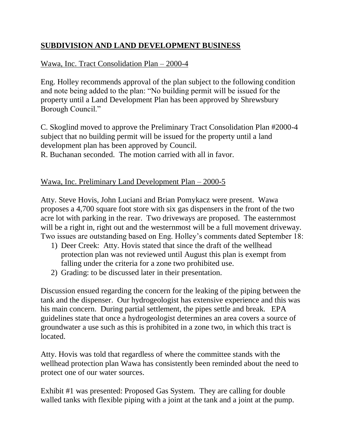# **SUBDIVISION AND LAND DEVELOPMENT BUSINESS**

# Wawa, Inc. Tract Consolidation Plan – 2000-4

Eng. Holley recommends approval of the plan subject to the following condition and note being added to the plan: "No building permit will be issued for the property until a Land Development Plan has been approved by Shrewsbury Borough Council."

C. Skoglind moved to approve the Preliminary Tract Consolidation Plan #2000-4 subject that no building permit will be issued for the property until a land development plan has been approved by Council. R. Buchanan seconded. The motion carried with all in favor.

### Wawa, Inc. Preliminary Land Development Plan – 2000-5

Atty. Steve Hovis, John Luciani and Brian Pomykacz were present. Wawa proposes a 4,700 square foot store with six gas dispensers in the front of the two acre lot with parking in the rear. Two driveways are proposed. The easternmost will be a right in, right out and the westernmost will be a full movement driveway. Two issues are outstanding based on Eng. Holley's comments dated September 18:

- 1) Deer Creek: Atty. Hovis stated that since the draft of the wellhead protection plan was not reviewed until August this plan is exempt from falling under the criteria for a zone two prohibited use.
- 2) Grading: to be discussed later in their presentation.

Discussion ensued regarding the concern for the leaking of the piping between the tank and the dispenser. Our hydrogeologist has extensive experience and this was his main concern. During partial settlement, the pipes settle and break. EPA guidelines state that once a hydrogeologist determines an area covers a source of groundwater a use such as this is prohibited in a zone two, in which this tract is located.

Atty. Hovis was told that regardless of where the committee stands with the wellhead protection plan Wawa has consistently been reminded about the need to protect one of our water sources.

Exhibit #1 was presented: Proposed Gas System. They are calling for double walled tanks with flexible piping with a joint at the tank and a joint at the pump.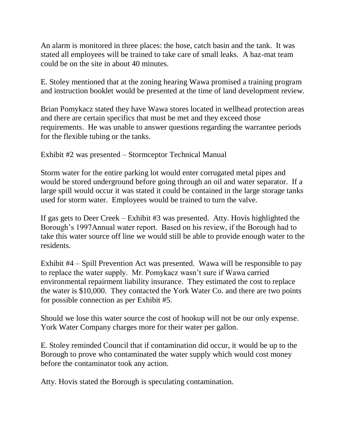An alarm is monitored in three places: the hose, catch basin and the tank. It was stated all employees will be trained to take care of small leaks. A haz-mat team could be on the site in about 40 minutes.

E. Stoley mentioned that at the zoning hearing Wawa promised a training program and instruction booklet would be presented at the time of land development review.

Brian Pomykacz stated they have Wawa stores located in wellhead protection areas and there are certain specifics that must be met and they exceed those requirements. He was unable to answer questions regarding the warrantee periods for the flexible tubing or the tanks.

Exhibit #2 was presented – Stormceptor Technical Manual

Storm water for the entire parking lot would enter corrugated metal pipes and would be stored underground before going through an oil and water separator. If a large spill would occur it was stated it could be contained in the large storage tanks used for storm water. Employees would be trained to turn the valve.

If gas gets to Deer Creek – Exhibit #3 was presented. Atty. Hovis highlighted the Borough's 1997Annual water report. Based on his review, if the Borough had to take this water source off line we would still be able to provide enough water to the residents.

Exhibit #4 – Spill Prevention Act was presented. Wawa will be responsible to pay to replace the water supply. Mr. Pomykacz wasn't sure if Wawa carried environmental repairment liability insurance. They estimated the cost to replace the water is \$10,000. They contacted the York Water Co. and there are two points for possible connection as per Exhibit #5.

Should we lose this water source the cost of hookup will not be our only expense. York Water Company charges more for their water per gallon.

E. Stoley reminded Council that if contamination did occur, it would be up to the Borough to prove who contaminated the water supply which would cost money before the contaminator took any action.

Atty. Hovis stated the Borough is speculating contamination.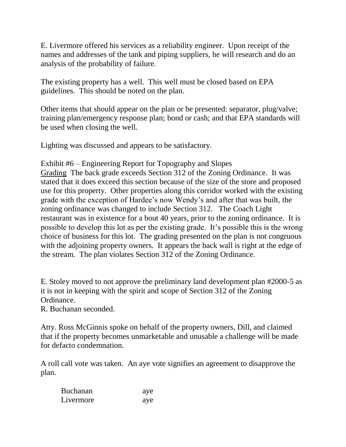E. Livermore offered his services as a reliability engineer. Upon receipt of the names and addresses of the tank and piping suppliers, he will research and do an analysis of the probability of failure.

The existing property has a well. This well must be closed based on EPA guidelines. This should be noted on the plan.

Other items that should appear on the plan or be presented: separator, plug/valve; training plan/emergency response plan; bond or cash; and that EPA standards will be used when closing the well.

Lighting was discussed and appears to be satisfactory.

Exhibit #6 – Engineering Report for Topography and Slopes

Grading The back grade exceeds Section 312 of the Zoning Ordinance. It was stated that it does exceed this section because of the size of the store and proposed use for this property. Other properties along this corridor worked with the existing grade with the exception of Hardee's now Wendy's and after that was built, the zoning ordinance was changed to include Section 312. The Coach Light restaurant was in existence for a bout 40 years, prior to the zoning ordinance. It is possible to develop this lot as per the existing grade. It's possible this is the wrong choice of business for this lot. The grading presented on the plan is not congruous with the adjoining property owners. It appears the back wall is right at the edge of the stream. The plan violates Section 312 of the Zoning Ordinance.

E. Stoley moved to not approve the preliminary land development plan #2000-5 as it is not in keeping with the spirit and scope of Section 312 of the Zoning Ordinance.

R. Buchanan seconded.

Atty. Ross McGinnis spoke on behalf of the property owners, Dill, and claimed that if the property becomes unmarketable and unusable a challenge will be made for defacto condemnation.

A roll call vote was taken. An aye vote signifies an agreement to disapprove the plan.

| <b>Buchanan</b> | aye |
|-----------------|-----|
| Livermore       | aye |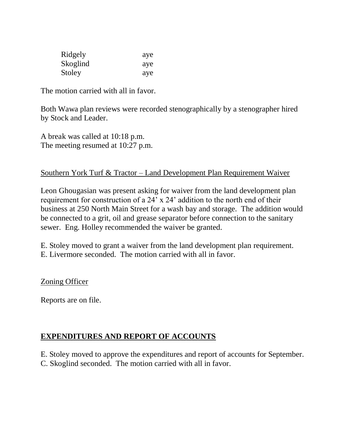| Ridgely  | aye |
|----------|-----|
| Skoglind | aye |
| Stoley   | aye |

The motion carried with all in favor.

Both Wawa plan reviews were recorded stenographically by a stenographer hired by Stock and Leader.

A break was called at 10:18 p.m. The meeting resumed at 10:27 p.m.

### Southern York Turf & Tractor – Land Development Plan Requirement Waiver

Leon Ghougasian was present asking for waiver from the land development plan requirement for construction of a 24' x 24' addition to the north end of their business at 250 North Main Street for a wash bay and storage. The addition would be connected to a grit, oil and grease separator before connection to the sanitary sewer. Eng. Holley recommended the waiver be granted.

E. Stoley moved to grant a waiver from the land development plan requirement. E. Livermore seconded. The motion carried with all in favor.

Zoning Officer

Reports are on file.

# **EXPENDITURES AND REPORT OF ACCOUNTS**

E. Stoley moved to approve the expenditures and report of accounts for September. C. Skoglind seconded. The motion carried with all in favor.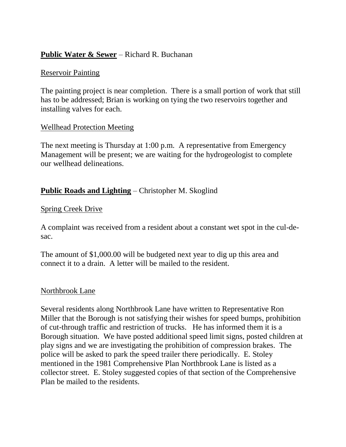### **Public Water & Sewer** – Richard R. Buchanan

#### Reservoir Painting

The painting project is near completion. There is a small portion of work that still has to be addressed; Brian is working on tying the two reservoirs together and installing valves for each.

### Wellhead Protection Meeting

The next meeting is Thursday at 1:00 p.m. A representative from Emergency Management will be present; we are waiting for the hydrogeologist to complete our wellhead delineations.

# **Public Roads and Lighting** – Christopher M. Skoglind

### Spring Creek Drive

A complaint was received from a resident about a constant wet spot in the cul-desac.

The amount of \$1,000.00 will be budgeted next year to dig up this area and connect it to a drain. A letter will be mailed to the resident.

### Northbrook Lane

Several residents along Northbrook Lane have written to Representative Ron Miller that the Borough is not satisfying their wishes for speed bumps, prohibition of cut-through traffic and restriction of trucks. He has informed them it is a Borough situation. We have posted additional speed limit signs, posted children at play signs and we are investigating the prohibition of compression brakes. The police will be asked to park the speed trailer there periodically. E. Stoley mentioned in the 1981 Comprehensive Plan Northbrook Lane is listed as a collector street. E. Stoley suggested copies of that section of the Comprehensive Plan be mailed to the residents.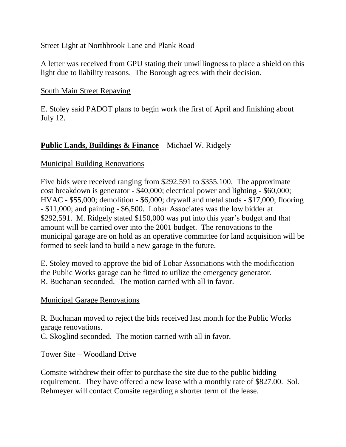### Street Light at Northbrook Lane and Plank Road

A letter was received from GPU stating their unwillingness to place a shield on this light due to liability reasons. The Borough agrees with their decision.

# South Main Street Repaving

E. Stoley said PADOT plans to begin work the first of April and finishing about July 12.

# **Public Lands, Buildings & Finance** – Michael W. Ridgely

### Municipal Building Renovations

Five bids were received ranging from \$292,591 to \$355,100. The approximate cost breakdown is generator - \$40,000; electrical power and lighting - \$60,000; HVAC - \$55,000; demolition - \$6,000; drywall and metal studs - \$17,000; flooring - \$11,000; and painting - \$6,500. Lobar Associates was the low bidder at \$292,591. M. Ridgely stated \$150,000 was put into this year's budget and that amount will be carried over into the 2001 budget. The renovations to the municipal garage are on hold as an operative committee for land acquisition will be formed to seek land to build a new garage in the future.

E. Stoley moved to approve the bid of Lobar Associations with the modification the Public Works garage can be fitted to utilize the emergency generator. R. Buchanan seconded. The motion carried with all in favor.

### Municipal Garage Renovations

R. Buchanan moved to reject the bids received last month for the Public Works garage renovations.

C. Skoglind seconded. The motion carried with all in favor.

Tower Site – Woodland Drive

Comsite withdrew their offer to purchase the site due to the public bidding requirement. They have offered a new lease with a monthly rate of \$827.00. Sol. Rehmeyer will contact Comsite regarding a shorter term of the lease.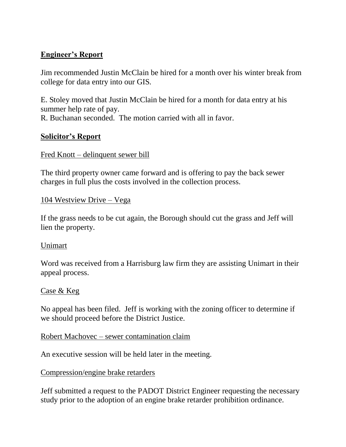# **Engineer's Report**

Jim recommended Justin McClain be hired for a month over his winter break from college for data entry into our GIS.

E. Stoley moved that Justin McClain be hired for a month for data entry at his summer help rate of pay. R. Buchanan seconded. The motion carried with all in favor.

# **Solicitor's Report**

#### Fred Knott – delinquent sewer bill

The third property owner came forward and is offering to pay the back sewer charges in full plus the costs involved in the collection process.

#### 104 Westview Drive – Vega

If the grass needs to be cut again, the Borough should cut the grass and Jeff will lien the property.

### Unimart

Word was received from a Harrisburg law firm they are assisting Unimart in their appeal process.

#### Case & Keg

No appeal has been filed. Jeff is working with the zoning officer to determine if we should proceed before the District Justice.

Robert Machovec – sewer contamination claim

An executive session will be held later in the meeting.

### Compression/engine brake retarders

Jeff submitted a request to the PADOT District Engineer requesting the necessary study prior to the adoption of an engine brake retarder prohibition ordinance.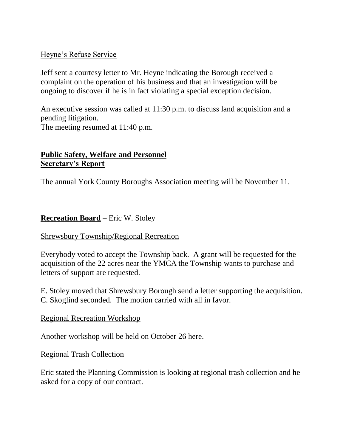### Heyne's Refuse Service

Jeff sent a courtesy letter to Mr. Heyne indicating the Borough received a complaint on the operation of his business and that an investigation will be ongoing to discover if he is in fact violating a special exception decision.

An executive session was called at 11:30 p.m. to discuss land acquisition and a pending litigation. The meeting resumed at 11:40 p.m.

### **Public Safety, Welfare and Personnel Secretary's Report**

The annual York County Boroughs Association meeting will be November 11.

# **Recreation Board** – Eric W. Stoley

### Shrewsbury Township/Regional Recreation

Everybody voted to accept the Township back. A grant will be requested for the acquisition of the 22 acres near the YMCA the Township wants to purchase and letters of support are requested.

E. Stoley moved that Shrewsbury Borough send a letter supporting the acquisition. C. Skoglind seconded. The motion carried with all in favor.

### Regional Recreation Workshop

Another workshop will be held on October 26 here.

Regional Trash Collection

Eric stated the Planning Commission is looking at regional trash collection and he asked for a copy of our contract.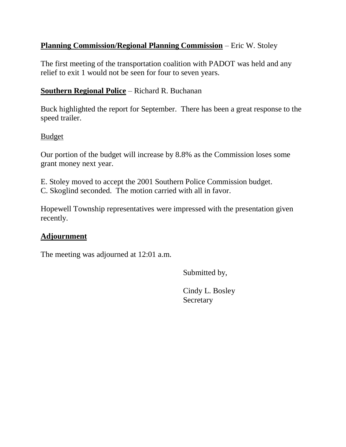# **Planning Commission/Regional Planning Commission** – Eric W. Stoley

The first meeting of the transportation coalition with PADOT was held and any relief to exit 1 would not be seen for four to seven years.

# **Southern Regional Police** – Richard R. Buchanan

Buck highlighted the report for September. There has been a great response to the speed trailer.

### Budget

Our portion of the budget will increase by 8.8% as the Commission loses some grant money next year.

E. Stoley moved to accept the 2001 Southern Police Commission budget. C. Skoglind seconded. The motion carried with all in favor.

Hopewell Township representatives were impressed with the presentation given recently.

# **Adjournment**

The meeting was adjourned at 12:01 a.m.

Submitted by,

Cindy L. Bosley **Secretary**